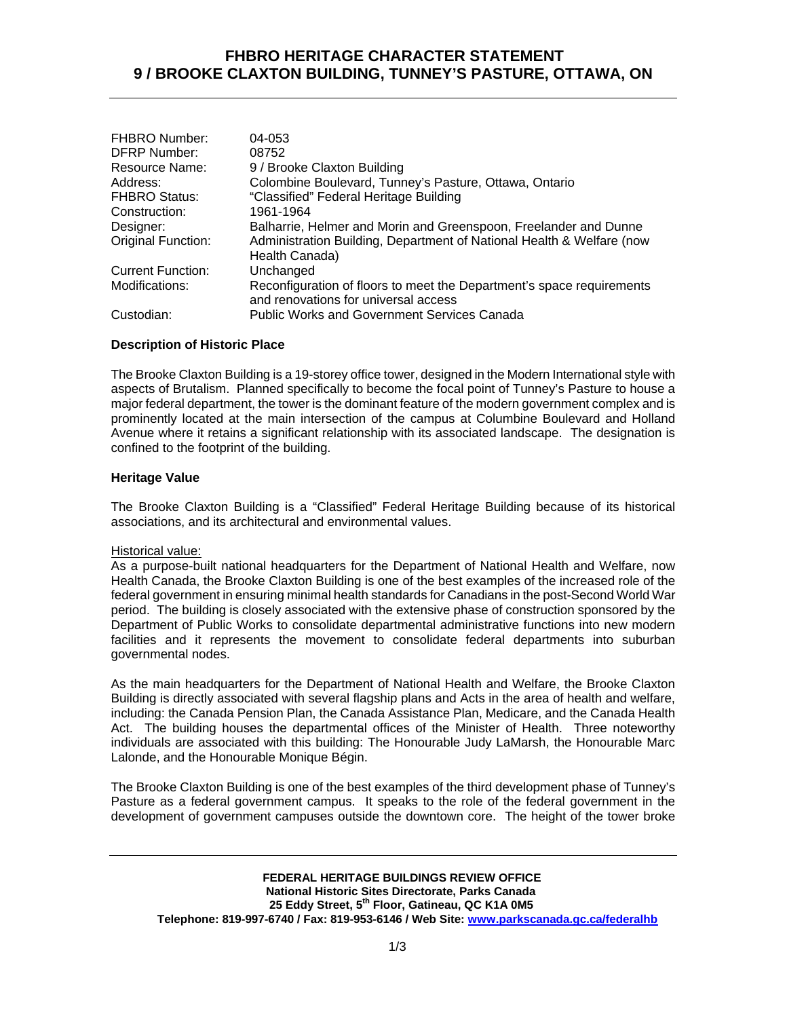## **FHBRO HERITAGE CHARACTER STATEMENT 9 / BROOKE CLAXTON BUILDING, TUNNEY'S PASTURE, OTTAWA, ON**

| <b>FHBRO Number:</b><br><b>DFRP Number:</b> | 04-053<br>08752                                                                                               |
|---------------------------------------------|---------------------------------------------------------------------------------------------------------------|
| Resource Name:                              | 9 / Brooke Claxton Building                                                                                   |
| Address:                                    | Colombine Boulevard, Tunney's Pasture, Ottawa, Ontario                                                        |
| <b>FHBRO Status:</b>                        | "Classified" Federal Heritage Building                                                                        |
| Construction:                               | 1961-1964                                                                                                     |
| Designer:                                   | Balharrie, Helmer and Morin and Greenspoon, Freelander and Dunne                                              |
| Original Function:                          | Administration Building, Department of National Health & Welfare (now<br>Health Canada)                       |
| <b>Current Function:</b>                    | Unchanged                                                                                                     |
| Modifications:                              | Reconfiguration of floors to meet the Department's space requirements<br>and renovations for universal access |
| Custodian:                                  | <b>Public Works and Government Services Canada</b>                                                            |

### **Description of Historic Place**

The Brooke Claxton Building is a 19-storey office tower, designed in the Modern International style with aspects of Brutalism. Planned specifically to become the focal point of Tunney's Pasture to house a major federal department, the tower is the dominant feature of the modern government complex and is prominently located at the main intersection of the campus at Columbine Boulevard and Holland Avenue where it retains a significant relationship with its associated landscape. The designation is confined to the footprint of the building.

### **Heritage Value**

The Brooke Claxton Building is a "Classified" Federal Heritage Building because of its historical associations, and its architectural and environmental values.

#### Historical value:

As a purpose-built national headquarters for the Department of National Health and Welfare, now Health Canada, the Brooke Claxton Building is one of the best examples of the increased role of the federal government in ensuring minimal health standards for Canadians in the post-Second World War period. The building is closely associated with the extensive phase of construction sponsored by the Department of Public Works to consolidate departmental administrative functions into new modern facilities and it represents the movement to consolidate federal departments into suburban governmental nodes.

As the main headquarters for the Department of National Health and Welfare, the Brooke Claxton Building is directly associated with several flagship plans and Acts in the area of health and welfare, including: the Canada Pension Plan, the Canada Assistance Plan, Medicare, and the Canada Health Act. The building houses the departmental offices of the Minister of Health. Three noteworthy individuals are associated with this building: The Honourable Judy LaMarsh, the Honourable Marc Lalonde, and the Honourable Monique Bégin.

The Brooke Claxton Building is one of the best examples of the third development phase of Tunney's Pasture as a federal government campus. It speaks to the role of the federal government in the development of government campuses outside the downtown core. The height of the tower broke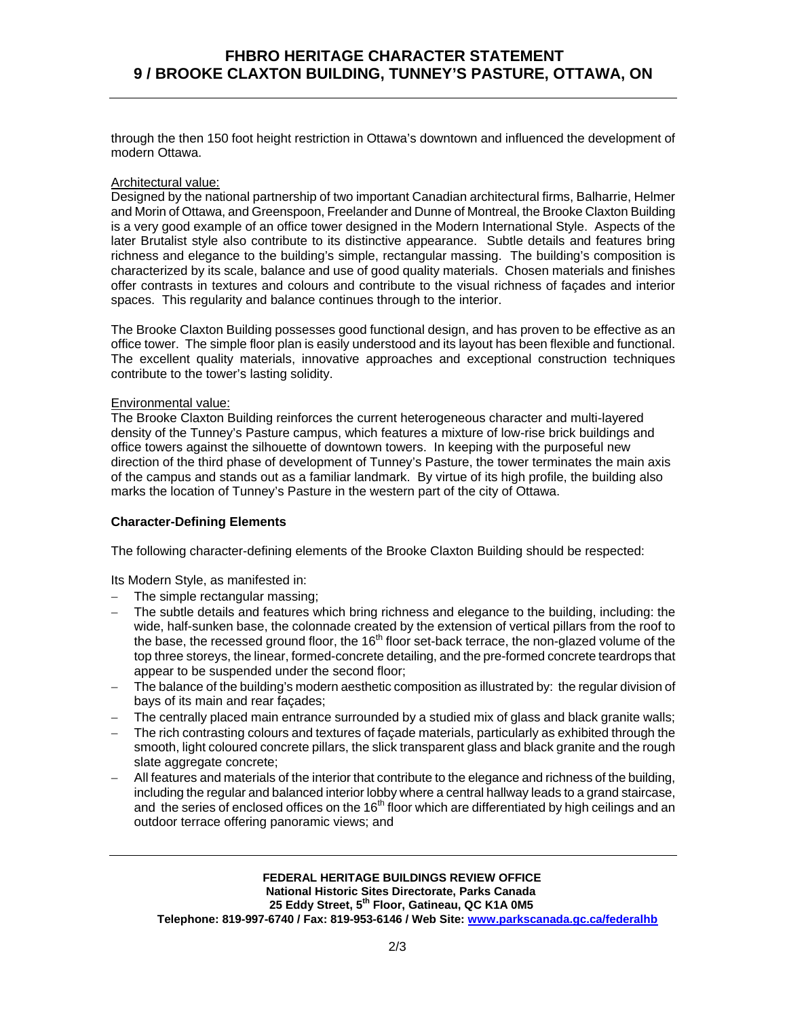# **FHBRO HERITAGE CHARACTER STATEMENT 9 / BROOKE CLAXTON BUILDING, TUNNEY'S PASTURE, OTTAWA, ON**

through the then 150 foot height restriction in Ottawa's downtown and influenced the development of modern Ottawa.

### Architectural value:

Designed by the national partnership of two important Canadian architectural firms, Balharrie, Helmer and Morin of Ottawa, and Greenspoon, Freelander and Dunne of Montreal, the Brooke Claxton Building is a very good example of an office tower designed in the Modern International Style. Aspects of the later Brutalist style also contribute to its distinctive appearance. Subtle details and features bring richness and elegance to the building's simple, rectangular massing. The building's composition is characterized by its scale, balance and use of good quality materials. Chosen materials and finishes offer contrasts in textures and colours and contribute to the visual richness of façades and interior spaces. This regularity and balance continues through to the interior.

The Brooke Claxton Building possesses good functional design, and has proven to be effective as an office tower. The simple floor plan is easily understood and its layout has been flexible and functional. The excellent quality materials, innovative approaches and exceptional construction techniques contribute to the tower's lasting solidity.

## Environmental value:

The Brooke Claxton Building reinforces the current heterogeneous character and multi-layered density of the Tunney's Pasture campus, which features a mixture of low-rise brick buildings and office towers against the silhouette of downtown towers. In keeping with the purposeful new direction of the third phase of development of Tunney's Pasture, the tower terminates the main axis of the campus and stands out as a familiar landmark. By virtue of its high profile, the building also marks the location of Tunney's Pasture in the western part of the city of Ottawa.

#### **Character-Defining Elements**

The following character-defining elements of the Brooke Claxton Building should be respected:

Its Modern Style, as manifested in:

- The simple rectangular massing;
- The subtle details and features which bring richness and elegance to the building, including: the wide, half-sunken base, the colonnade created by the extension of vertical pillars from the roof to the base, the recessed ground floor, the 16<sup>th</sup> floor set-back terrace, the non-glazed volume of the top three storeys, the linear, formed-concrete detailing, and the pre-formed concrete teardrops that appear to be suspended under the second floor;
- The balance of the building's modern aesthetic composition as illustrated by: the regular division of bays of its main and rear façades;
- The centrally placed main entrance surrounded by a studied mix of glass and black granite walls;
- The rich contrasting colours and textures of facade materials, particularly as exhibited through the smooth, light coloured concrete pillars, the slick transparent glass and black granite and the rough slate aggregate concrete;
- All features and materials of the interior that contribute to the elegance and richness of the building, including the regular and balanced interior lobby where a central hallway leads to a grand staircase, and the series of enclosed offices on the 16<sup>th</sup> floor which are differentiated by high ceilings and an outdoor terrace offering panoramic views; and